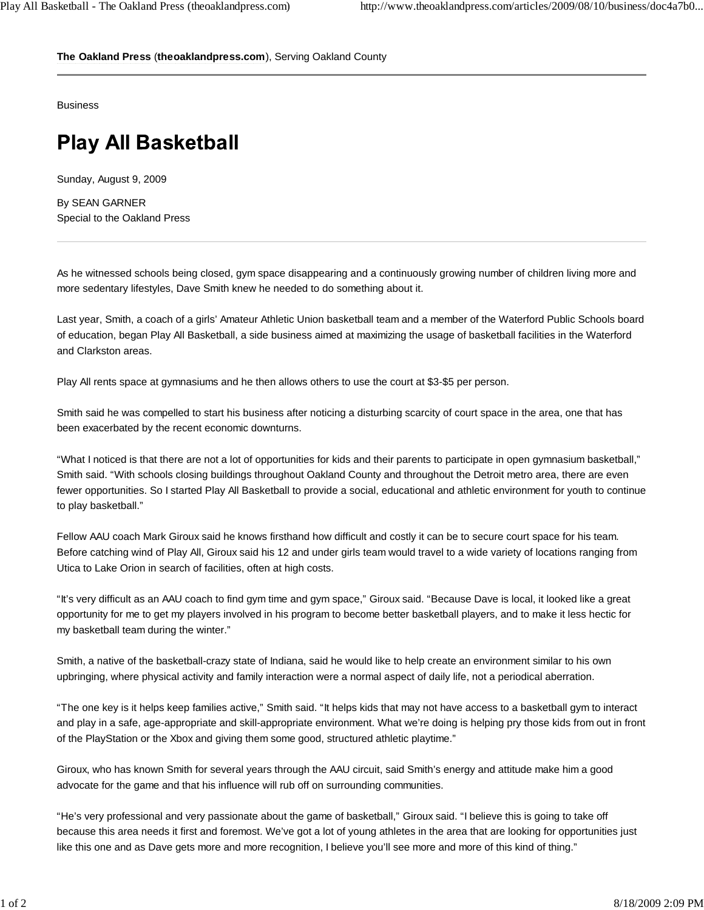**The Oakland Press** (**theoaklandpress.com**), Serving Oakland County

**Business** 

## **Play All Basketball**

Sunday, August 9, 2009

By SEAN GARNER Special to the Oakland Press

As he witnessed schools being closed, gym space disappearing and a continuously growing number of children living more and more sedentary lifestyles, Dave Smith knew he needed to do something about it.

Last year, Smith, a coach of a girls' Amateur Athletic Union basketball team and a member of the Waterford Public Schools board of education, began Play All Basketball, a side business aimed at maximizing the usage of basketball facilities in the Waterford and Clarkston areas.

Play All rents space at gymnasiums and he then allows others to use the court at \$3-\$5 per person.

Smith said he was compelled to start his business after noticing a disturbing scarcity of court space in the area, one that has been exacerbated by the recent economic downturns.

"What I noticed is that there are not a lot of opportunities for kids and their parents to participate in open gymnasium basketball," Smith said. "With schools closing buildings throughout Oakland County and throughout the Detroit metro area, there are even fewer opportunities. So I started Play All Basketball to provide a social, educational and athletic environment for youth to continue to play basketball."

Fellow AAU coach Mark Giroux said he knows firsthand how difficult and costly it can be to secure court space for his team. Before catching wind of Play All, Giroux said his 12 and under girls team would travel to a wide variety of locations ranging from Utica to Lake Orion in search of facilities, often at high costs.

"It's very difficult as an AAU coach to find gym time and gym space," Giroux said. "Because Dave is local, it looked like a great opportunity for me to get my players involved in his program to become better basketball players, and to make it less hectic for my basketball team during the winter."

Smith, a native of the basketball-crazy state of Indiana, said he would like to help create an environment similar to his own upbringing, where physical activity and family interaction were a normal aspect of daily life, not a periodical aberration.

"The one key is it helps keep families active," Smith said. "It helps kids that may not have access to a basketball gym to interact and play in a safe, age-appropriate and skill-appropriate environment. What we're doing is helping pry those kids from out in front of the PlayStation or the Xbox and giving them some good, structured athletic playtime."

Giroux, who has known Smith for several years through the AAU circuit, said Smith's energy and attitude make him a good advocate for the game and that his influence will rub off on surrounding communities.

"He's very professional and very passionate about the game of basketball," Giroux said. "I believe this is going to take off because this area needs it first and foremost. We've got a lot of young athletes in the area that are looking for opportunities just like this one and as Dave gets more and more recognition, I believe you'll see more and more of this kind of thing."